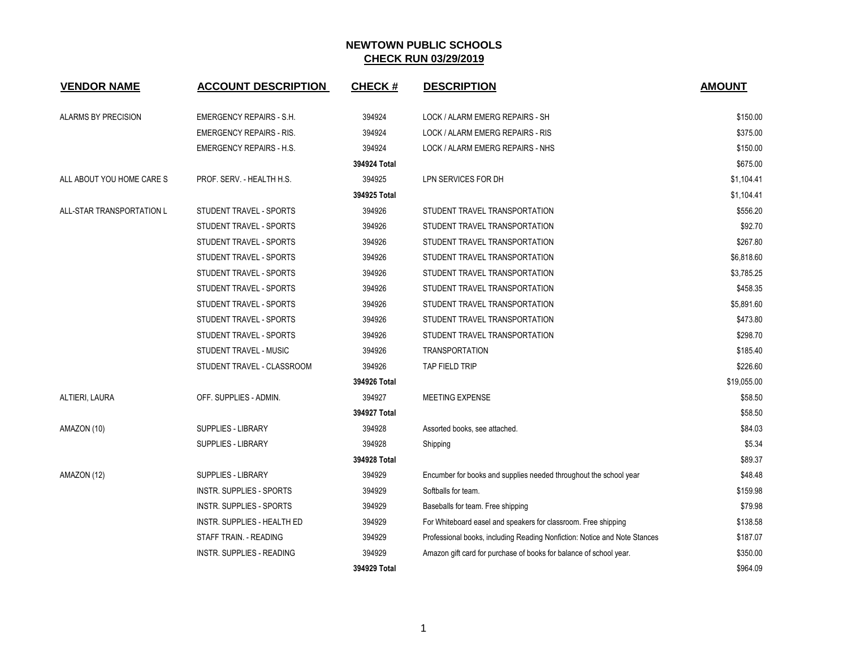| <b>VENDOR NAME</b>        | <b>ACCOUNT DESCRIPTION</b>       | <b>CHECK#</b> | <b>DESCRIPTION</b>                                                        | <b>AMOUNT</b> |
|---------------------------|----------------------------------|---------------|---------------------------------------------------------------------------|---------------|
| ALARMS BY PRECISION       | <b>EMERGENCY REPAIRS - S.H.</b>  | 394924        | LOCK / ALARM EMERG REPAIRS - SH                                           | \$150.00      |
|                           | <b>EMERGENCY REPAIRS - RIS.</b>  | 394924        | LOCK / ALARM EMERG REPAIRS - RIS                                          | \$375.00      |
|                           | <b>EMERGENCY REPAIRS - H.S.</b>  | 394924        | LOCK / ALARM EMERG REPAIRS - NHS                                          | \$150.00      |
|                           |                                  | 394924 Total  |                                                                           | \$675.00      |
| ALL ABOUT YOU HOME CARE S | PROF. SERV. - HEALTH H.S.        | 394925        | LPN SERVICES FOR DH                                                       | \$1,104.41    |
|                           |                                  | 394925 Total  |                                                                           | \$1,104.41    |
| ALL-STAR TRANSPORTATION L | STUDENT TRAVEL - SPORTS          | 394926        | STUDENT TRAVEL TRANSPORTATION                                             | \$556.20      |
|                           | STUDENT TRAVEL - SPORTS          | 394926        | STUDENT TRAVEL TRANSPORTATION                                             | \$92.70       |
|                           | STUDENT TRAVEL - SPORTS          | 394926        | STUDENT TRAVEL TRANSPORTATION                                             | \$267.80      |
|                           | STUDENT TRAVEL - SPORTS          | 394926        | STUDENT TRAVEL TRANSPORTATION                                             | \$6,818.60    |
|                           | STUDENT TRAVEL - SPORTS          | 394926        | STUDENT TRAVEL TRANSPORTATION                                             | \$3,785.25    |
|                           | STUDENT TRAVEL - SPORTS          | 394926        | STUDENT TRAVEL TRANSPORTATION                                             | \$458.35      |
|                           | STUDENT TRAVEL - SPORTS          | 394926        | STUDENT TRAVEL TRANSPORTATION                                             | \$5,891.60    |
|                           | STUDENT TRAVEL - SPORTS          | 394926        | STUDENT TRAVEL TRANSPORTATION                                             | \$473.80      |
|                           | STUDENT TRAVEL - SPORTS          | 394926        | STUDENT TRAVEL TRANSPORTATION                                             | \$298.70      |
|                           | STUDENT TRAVEL - MUSIC           | 394926        | <b>TRANSPORTATION</b>                                                     | \$185.40      |
|                           | STUDENT TRAVEL - CLASSROOM       | 394926        | TAP FIELD TRIP                                                            | \$226.60      |
|                           |                                  | 394926 Total  |                                                                           | \$19,055.00   |
| ALTIERI, LAURA            | OFF. SUPPLIES - ADMIN.           | 394927        | <b>MEETING EXPENSE</b>                                                    | \$58.50       |
|                           |                                  | 394927 Total  |                                                                           | \$58.50       |
| AMAZON (10)               | <b>SUPPLIES - LIBRARY</b>        | 394928        | Assorted books, see attached.                                             | \$84.03       |
|                           | SUPPLIES - LIBRARY               | 394928        | Shipping                                                                  | \$5.34        |
|                           |                                  | 394928 Total  |                                                                           | \$89.37       |
| AMAZON (12)               | SUPPLIES - LIBRARY               | 394929        | Encumber for books and supplies needed throughout the school year         | \$48.48       |
|                           | <b>INSTR. SUPPLIES - SPORTS</b>  | 394929        | Softballs for team.                                                       | \$159.98      |
|                           | <b>INSTR. SUPPLIES - SPORTS</b>  | 394929        | Baseballs for team. Free shipping                                         | \$79.98       |
|                           | INSTR. SUPPLIES - HEALTH ED      | 394929        | For Whiteboard easel and speakers for classroom. Free shipping            | \$138.58      |
|                           | STAFF TRAIN. - READING           | 394929        | Professional books, including Reading Nonfiction: Notice and Note Stances | \$187.07      |
|                           | <b>INSTR. SUPPLIES - READING</b> | 394929        | Amazon gift card for purchase of books for balance of school year.        | \$350.00      |
|                           |                                  | 394929 Total  |                                                                           | \$964.09      |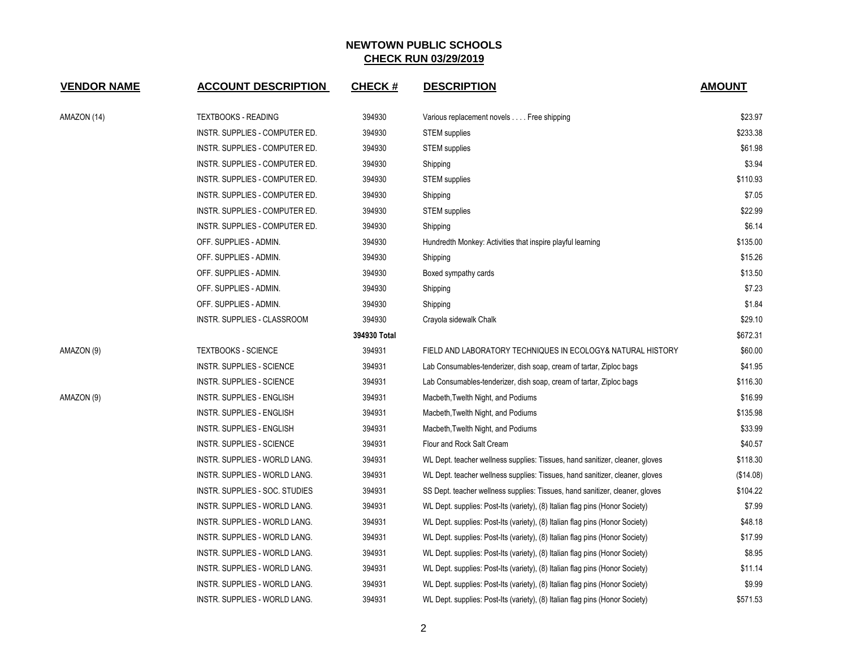| <b>VENDOR NAME</b> | <b>ACCOUNT DESCRIPTION</b>       | <b>CHECK#</b> | <b>DESCRIPTION</b>                                                           | <b>AMOUNT</b> |
|--------------------|----------------------------------|---------------|------------------------------------------------------------------------------|---------------|
| AMAZON (14)        | <b>TEXTBOOKS - READING</b>       | 394930        | Various replacement novels Free shipping                                     | \$23.97       |
|                    | INSTR. SUPPLIES - COMPUTER ED.   | 394930        | <b>STEM</b> supplies                                                         | \$233.38      |
|                    | INSTR. SUPPLIES - COMPUTER ED.   | 394930        | <b>STEM</b> supplies                                                         | \$61.98       |
|                    | INSTR. SUPPLIES - COMPUTER ED.   | 394930        | Shipping                                                                     | \$3.94        |
|                    | INSTR. SUPPLIES - COMPUTER ED.   | 394930        | <b>STEM</b> supplies                                                         | \$110.93      |
|                    | INSTR. SUPPLIES - COMPUTER ED.   | 394930        | Shipping                                                                     | \$7.05        |
|                    | INSTR. SUPPLIES - COMPUTER ED.   | 394930        | <b>STEM</b> supplies                                                         | \$22.99       |
|                    | INSTR. SUPPLIES - COMPUTER ED.   | 394930        | Shipping                                                                     | \$6.14        |
|                    | OFF. SUPPLIES - ADMIN.           | 394930        | Hundredth Monkey: Activities that inspire playful learning                   | \$135.00      |
|                    | OFF. SUPPLIES - ADMIN.           | 394930        | Shipping                                                                     | \$15.26       |
|                    | OFF. SUPPLIES - ADMIN.           | 394930        | Boxed sympathy cards                                                         | \$13.50       |
|                    | OFF. SUPPLIES - ADMIN.           | 394930        | Shipping                                                                     | \$7.23        |
|                    | OFF. SUPPLIES - ADMIN.           | 394930        | Shipping                                                                     | \$1.84        |
|                    | INSTR. SUPPLIES - CLASSROOM      | 394930        | Crayola sidewalk Chalk                                                       | \$29.10       |
|                    |                                  | 394930 Total  |                                                                              | \$672.31      |
| AMAZON (9)         | <b>TEXTBOOKS - SCIENCE</b>       | 394931        | FIELD AND LABORATORY TECHNIQUES IN ECOLOGY& NATURAL HISTORY                  | \$60.00       |
|                    | INSTR. SUPPLIES - SCIENCE        | 394931        | Lab Consumables-tenderizer, dish soap, cream of tartar, Ziploc bags          | \$41.95       |
|                    | <b>INSTR. SUPPLIES - SCIENCE</b> | 394931        | Lab Consumables-tenderizer, dish soap, cream of tartar, Ziploc bags          | \$116.30      |
| AMAZON (9)         | <b>INSTR. SUPPLIES - ENGLISH</b> | 394931        | Macbeth, Twelth Night, and Podiums                                           | \$16.99       |
|                    | <b>INSTR. SUPPLIES - ENGLISH</b> | 394931        | Macbeth, Twelth Night, and Podiums                                           | \$135.98      |
|                    | INSTR. SUPPLIES - ENGLISH        | 394931        | Macbeth, Twelth Night, and Podiums                                           | \$33.99       |
|                    | <b>INSTR. SUPPLIES - SCIENCE</b> | 394931        | Flour and Rock Salt Cream                                                    | \$40.57       |
|                    | INSTR. SUPPLIES - WORLD LANG.    | 394931        | WL Dept. teacher wellness supplies: Tissues, hand sanitizer, cleaner, gloves | \$118.30      |
|                    | INSTR. SUPPLIES - WORLD LANG.    | 394931        | WL Dept. teacher wellness supplies: Tissues, hand sanitizer, cleaner, gloves | (\$14.08)     |
|                    | INSTR. SUPPLIES - SOC. STUDIES   | 394931        | SS Dept. teacher wellness supplies: Tissues, hand sanitizer, cleaner, gloves | \$104.22      |
|                    | INSTR. SUPPLIES - WORLD LANG.    | 394931        | WL Dept. supplies: Post-Its (variety), (8) Italian flag pins (Honor Society) | \$7.99        |
|                    | INSTR. SUPPLIES - WORLD LANG.    | 394931        | WL Dept. supplies: Post-Its (variety), (8) Italian flag pins (Honor Society) | \$48.18       |
|                    | INSTR. SUPPLIES - WORLD LANG.    | 394931        | WL Dept. supplies: Post-Its (variety), (8) Italian flag pins (Honor Society) | \$17.99       |
|                    | INSTR. SUPPLIES - WORLD LANG.    | 394931        | WL Dept. supplies: Post-Its (variety), (8) Italian flag pins (Honor Society) | \$8.95        |
|                    | INSTR. SUPPLIES - WORLD LANG.    | 394931        | WL Dept. supplies: Post-Its (variety), (8) Italian flag pins (Honor Society) | \$11.14       |
|                    | INSTR. SUPPLIES - WORLD LANG.    | 394931        | WL Dept. supplies: Post-Its (variety), (8) Italian flag pins (Honor Society) | \$9.99        |
|                    | INSTR. SUPPLIES - WORLD LANG.    | 394931        | WL Dept. supplies: Post-Its (variety), (8) Italian flag pins (Honor Society) | \$571.53      |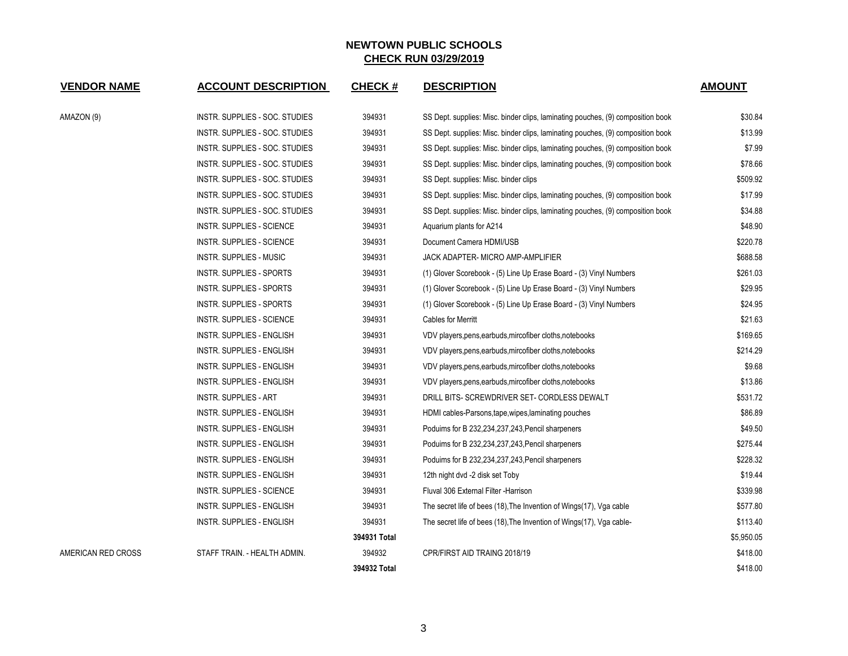| <b>VENDOR NAME</b> | <b>ACCOUNT DESCRIPTION</b>       | <b>CHECK#</b> | <b>DESCRIPTION</b>                                                              | <b>AMOUNT</b> |
|--------------------|----------------------------------|---------------|---------------------------------------------------------------------------------|---------------|
| AMAZON (9)         | INSTR. SUPPLIES - SOC. STUDIES   | 394931        | SS Dept. supplies: Misc. binder clips, laminating pouches, (9) composition book | \$30.84       |
|                    | INSTR. SUPPLIES - SOC. STUDIES   | 394931        | SS Dept. supplies: Misc. binder clips, laminating pouches, (9) composition book | \$13.99       |
|                    | INSTR. SUPPLIES - SOC. STUDIES   | 394931        | SS Dept. supplies: Misc. binder clips, laminating pouches, (9) composition book | \$7.99        |
|                    | INSTR. SUPPLIES - SOC. STUDIES   | 394931        | SS Dept. supplies: Misc. binder clips, laminating pouches, (9) composition book | \$78.66       |
|                    | INSTR. SUPPLIES - SOC. STUDIES   | 394931        | SS Dept. supplies: Misc. binder clips                                           | \$509.92      |
|                    | INSTR. SUPPLIES - SOC. STUDIES   | 394931        | SS Dept. supplies: Misc. binder clips, laminating pouches, (9) composition book | \$17.99       |
|                    | INSTR. SUPPLIES - SOC. STUDIES   | 394931        | SS Dept. supplies: Misc. binder clips, laminating pouches, (9) composition book | \$34.88       |
|                    | INSTR. SUPPLIES - SCIENCE        | 394931        | Aquarium plants for A214                                                        | \$48.90       |
|                    | <b>INSTR. SUPPLIES - SCIENCE</b> | 394931        | Document Camera HDMI/USB                                                        | \$220.78      |
|                    | <b>INSTR. SUPPLIES - MUSIC</b>   | 394931        | JACK ADAPTER- MICRO AMP-AMPLIFIER                                               | \$688.58      |
|                    | <b>INSTR. SUPPLIES - SPORTS</b>  | 394931        | (1) Glover Scorebook - (5) Line Up Erase Board - (3) Vinyl Numbers              | \$261.03      |
|                    | <b>INSTR. SUPPLIES - SPORTS</b>  | 394931        | (1) Glover Scorebook - (5) Line Up Erase Board - (3) Vinyl Numbers              | \$29.95       |
|                    | <b>INSTR. SUPPLIES - SPORTS</b>  | 394931        | (1) Glover Scorebook - (5) Line Up Erase Board - (3) Vinyl Numbers              | \$24.95       |
|                    | INSTR. SUPPLIES - SCIENCE        | 394931        | Cables for Merritt                                                              | \$21.63       |
|                    | <b>INSTR. SUPPLIES - ENGLISH</b> | 394931        | VDV players, pens, earbuds, mircofiber cloths, notebooks                        | \$169.65      |
|                    | INSTR. SUPPLIES - ENGLISH        | 394931        | VDV players, pens, earbuds, mircofiber cloths, notebooks                        | \$214.29      |
|                    | INSTR. SUPPLIES - ENGLISH        | 394931        | VDV players, pens, earbuds, mircofiber cloths, notebooks                        | \$9.68        |
|                    | INSTR. SUPPLIES - ENGLISH        | 394931        | VDV players, pens, earbuds, mircofiber cloths, notebooks                        | \$13.86       |
|                    | <b>INSTR. SUPPLIES - ART</b>     | 394931        | DRILL BITS- SCREWDRIVER SET- CORDLESS DEWALT                                    | \$531.72      |
|                    | INSTR. SUPPLIES - ENGLISH        | 394931        | HDMI cables-Parsons, tape, wipes, laminating pouches                            | \$86.89       |
|                    | <b>INSTR. SUPPLIES - ENGLISH</b> | 394931        | Poduims for B 232,234,237,243, Pencil sharpeners                                | \$49.50       |
|                    | INSTR. SUPPLIES - ENGLISH        | 394931        | Poduims for B 232,234,237,243, Pencil sharpeners                                | \$275.44      |
|                    | INSTR. SUPPLIES - ENGLISH        | 394931        | Poduims for B 232,234,237,243, Pencil sharpeners                                | \$228.32      |
|                    | INSTR. SUPPLIES - ENGLISH        | 394931        | 12th night dvd -2 disk set Toby                                                 | \$19.44       |
|                    | INSTR. SUPPLIES - SCIENCE        | 394931        | Fluval 306 External Filter - Harrison                                           | \$339.98      |
|                    | INSTR. SUPPLIES - ENGLISH        | 394931        | The secret life of bees (18), The Invention of Wings(17), Vga cable             | \$577.80      |
|                    | <b>INSTR. SUPPLIES - ENGLISH</b> | 394931        | The secret life of bees (18), The Invention of Wings(17), Vga cable-            | \$113.40      |
|                    |                                  | 394931 Total  |                                                                                 | \$5,950.05    |
| AMERICAN RED CROSS | STAFF TRAIN. - HEALTH ADMIN.     | 394932        | CPR/FIRST AID TRAING 2018/19                                                    | \$418.00      |
|                    |                                  | 394932 Total  |                                                                                 | \$418.00      |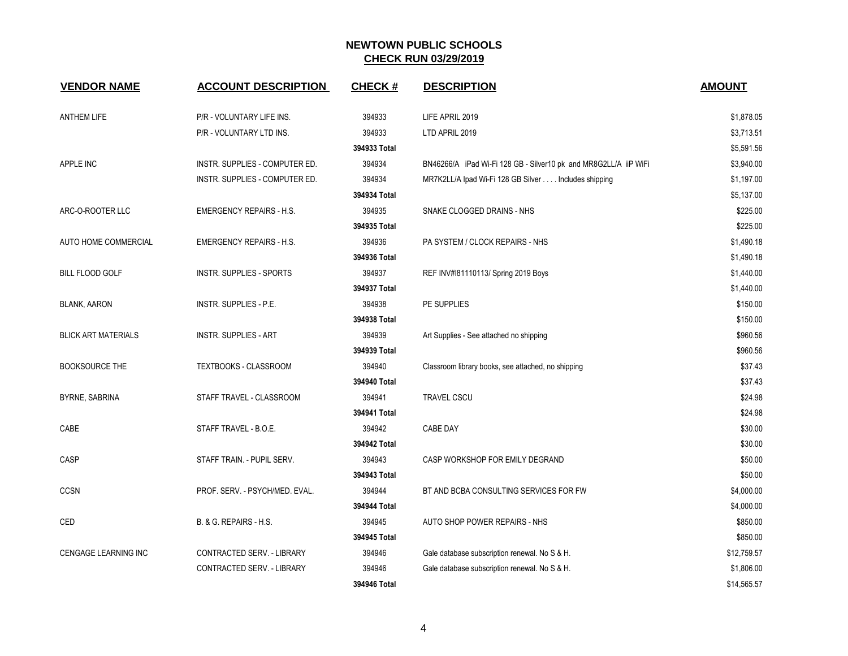| <b>VENDOR NAME</b>         | <b>ACCOUNT DESCRIPTION</b>      | <b>CHECK#</b> | <b>DESCRIPTION</b>                                               | <b>AMOUNT</b> |
|----------------------------|---------------------------------|---------------|------------------------------------------------------------------|---------------|
| <b>ANTHEM LIFE</b>         | P/R - VOLUNTARY LIFE INS.       | 394933        | LIFE APRIL 2019                                                  | \$1,878.05    |
|                            | P/R - VOLUNTARY LTD INS.        | 394933        | LTD APRIL 2019                                                   | \$3,713.51    |
|                            |                                 | 394933 Total  |                                                                  | \$5,591.56    |
| APPLE INC                  | INSTR. SUPPLIES - COMPUTER ED.  | 394934        | BN46266/A iPad Wi-Fi 128 GB - Silver10 pk and MR8G2LL/A iiP WiFi | \$3,940.00    |
|                            | INSTR. SUPPLIES - COMPUTER ED.  | 394934        | MR7K2LL/A Ipad Wi-Fi 128 GB Silver Includes shipping             | \$1,197.00    |
|                            |                                 | 394934 Total  |                                                                  | \$5,137.00    |
| ARC-O-ROOTER LLC           | <b>EMERGENCY REPAIRS - H.S.</b> | 394935        | SNAKE CLOGGED DRAINS - NHS                                       | \$225.00      |
|                            |                                 | 394935 Total  |                                                                  | \$225.00      |
| AUTO HOME COMMERCIAL       | <b>EMERGENCY REPAIRS - H.S.</b> | 394936        | PA SYSTEM / CLOCK REPAIRS - NHS                                  | \$1,490.18    |
|                            |                                 | 394936 Total  |                                                                  | \$1,490.18    |
| <b>BILL FLOOD GOLF</b>     | <b>INSTR. SUPPLIES - SPORTS</b> | 394937        | REF INV#181110113/ Spring 2019 Boys                              | \$1,440.00    |
|                            |                                 | 394937 Total  |                                                                  | \$1,440.00    |
| <b>BLANK, AARON</b>        | <b>INSTR. SUPPLIES - P.E.</b>   | 394938        | PE SUPPLIES                                                      | \$150.00      |
|                            |                                 | 394938 Total  |                                                                  | \$150.00      |
| <b>BLICK ART MATERIALS</b> | <b>INSTR. SUPPLIES - ART</b>    | 394939        | Art Supplies - See attached no shipping                          | \$960.56      |
|                            |                                 | 394939 Total  |                                                                  | \$960.56      |
| <b>BOOKSOURCE THE</b>      | TEXTBOOKS - CLASSROOM           | 394940        | Classroom library books, see attached, no shipping               | \$37.43       |
|                            |                                 | 394940 Total  |                                                                  | \$37.43       |
| BYRNE, SABRINA             | STAFF TRAVEL - CLASSROOM        | 394941        | <b>TRAVEL CSCU</b>                                               | \$24.98       |
|                            |                                 | 394941 Total  |                                                                  | \$24.98       |
| CABE                       | STAFF TRAVEL - B.O.E.           | 394942        | <b>CABE DAY</b>                                                  | \$30.00       |
|                            |                                 | 394942 Total  |                                                                  | \$30.00       |
| CASP                       | STAFF TRAIN. - PUPIL SERV.      | 394943        | CASP WORKSHOP FOR EMILY DEGRAND                                  | \$50.00       |
|                            |                                 | 394943 Total  |                                                                  | \$50.00       |
| <b>CCSN</b>                | PROF. SERV. - PSYCH/MED. EVAL.  | 394944        | BT AND BCBA CONSULTING SERVICES FOR FW                           | \$4,000.00    |
|                            |                                 | 394944 Total  |                                                                  | \$4,000.00    |
| CED                        | B. & G. REPAIRS - H.S.          | 394945        | AUTO SHOP POWER REPAIRS - NHS                                    | \$850.00      |
|                            |                                 | 394945 Total  |                                                                  | \$850.00      |
| CENGAGE LEARNING INC       | CONTRACTED SERV. - LIBRARY      | 394946        | Gale database subscription renewal. No S & H.                    | \$12,759.57   |
|                            | CONTRACTED SERV. - LIBRARY      | 394946        | Gale database subscription renewal. No S & H.                    | \$1,806.00    |
|                            |                                 | 394946 Total  |                                                                  | \$14,565.57   |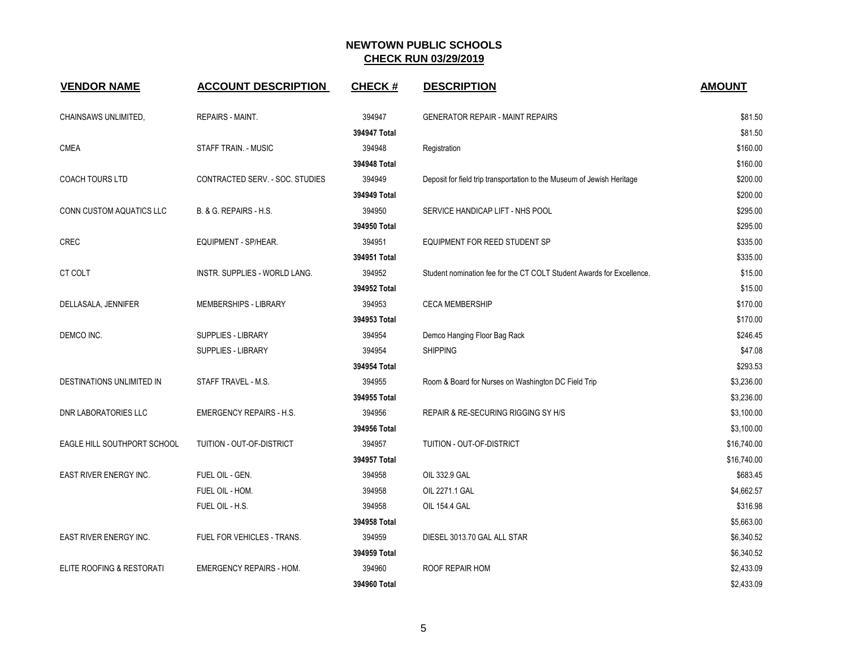| <b>VENDOR NAME</b>            | <b>ACCOUNT DESCRIPTION</b>      | <b>CHECK#</b> | <b>DESCRIPTION</b>                                                     | <b>AMOUNT</b> |
|-------------------------------|---------------------------------|---------------|------------------------------------------------------------------------|---------------|
| CHAINSAWS UNLIMITED,          | REPAIRS - MAINT.                | 394947        | <b>GENERATOR REPAIR - MAINT REPAIRS</b>                                | \$81.50       |
|                               |                                 | 394947 Total  |                                                                        | \$81.50       |
| <b>CMEA</b>                   | <b>STAFF TRAIN. - MUSIC</b>     | 394948        | Registration                                                           | \$160.00      |
|                               |                                 | 394948 Total  |                                                                        | \$160.00      |
| <b>COACH TOURS LTD</b>        | CONTRACTED SERV. - SOC. STUDIES | 394949        | Deposit for field trip transportation to the Museum of Jewish Heritage | \$200.00      |
|                               |                                 | 394949 Total  |                                                                        | \$200.00      |
| CONN CUSTOM AQUATICS LLC      | B. & G. REPAIRS - H.S.          | 394950        | SERVICE HANDICAP LIFT - NHS POOL                                       | \$295.00      |
|                               |                                 | 394950 Total  |                                                                        | \$295.00      |
| <b>CREC</b>                   | EQUIPMENT - SP/HEAR.            | 394951        | EQUIPMENT FOR REED STUDENT SP                                          | \$335.00      |
|                               |                                 | 394951 Total  |                                                                        | \$335.00      |
| CT COLT                       | INSTR. SUPPLIES - WORLD LANG.   | 394952        | Student nomination fee for the CT COLT Student Awards for Excellence.  | \$15.00       |
|                               |                                 | 394952 Total  |                                                                        | \$15.00       |
| DELLASALA, JENNIFER           | MEMBERSHIPS - LIBRARY           | 394953        | <b>CECA MEMBERSHIP</b>                                                 | \$170.00      |
|                               |                                 | 394953 Total  |                                                                        | \$170.00      |
| DEMCO INC.                    | SUPPLIES - LIBRARY              | 394954        | Demco Hanging Floor Bag Rack                                           | \$246.45      |
|                               | SUPPLIES - LIBRARY              | 394954        | <b>SHIPPING</b>                                                        | \$47.08       |
|                               |                                 | 394954 Total  |                                                                        | \$293.53      |
| DESTINATIONS UNLIMITED IN     | STAFF TRAVEL - M.S.             | 394955        | Room & Board for Nurses on Washington DC Field Trip                    | \$3,236.00    |
|                               |                                 | 394955 Total  |                                                                        | \$3,236.00    |
| <b>DNR LABORATORIES LLC</b>   | <b>EMERGENCY REPAIRS - H.S.</b> | 394956        | REPAIR & RE-SECURING RIGGING SY H/S                                    | \$3,100.00    |
|                               |                                 | 394956 Total  |                                                                        | \$3,100.00    |
| EAGLE HILL SOUTHPORT SCHOOL   | TUITION - OUT-OF-DISTRICT       | 394957        | TUITION - OUT-OF-DISTRICT                                              | \$16,740.00   |
|                               |                                 | 394957 Total  |                                                                        | \$16,740.00   |
| EAST RIVER ENERGY INC.        | FUEL OIL - GEN.                 | 394958        | OIL 332.9 GAL                                                          | \$683.45      |
|                               | FUEL OIL - HOM.                 | 394958        | OIL 2271.1 GAL                                                         | \$4,662.57    |
|                               | FUEL OIL - H.S.                 | 394958        | <b>OIL 154.4 GAL</b>                                                   | \$316.98      |
|                               |                                 | 394958 Total  |                                                                        | \$5,663.00    |
| <b>EAST RIVER ENERGY INC.</b> | FUEL FOR VEHICLES - TRANS.      | 394959        | DIESEL 3013.70 GAL ALL STAR                                            | \$6,340.52    |
|                               |                                 | 394959 Total  |                                                                        | \$6,340.52    |
| ELITE ROOFING & RESTORATI     | <b>EMERGENCY REPAIRS - HOM.</b> | 394960        | ROOF REPAIR HOM                                                        | \$2,433.09    |
|                               |                                 | 394960 Total  |                                                                        | \$2,433.09    |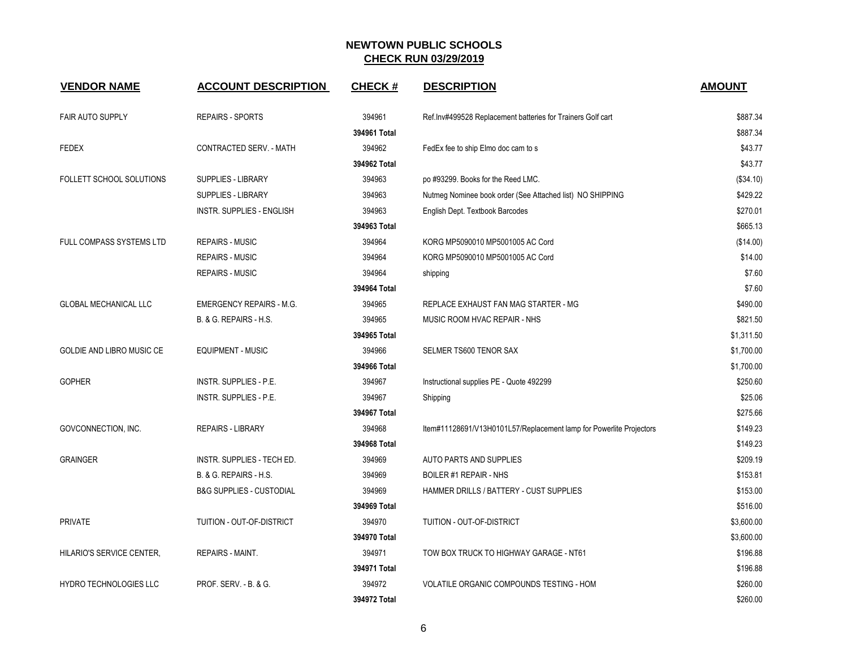| <b>VENDOR NAME</b>              | <b>ACCOUNT DESCRIPTION</b>          | <b>CHECK#</b> | <b>DESCRIPTION</b>                                                  | <b>AMOUNT</b> |
|---------------------------------|-------------------------------------|---------------|---------------------------------------------------------------------|---------------|
| <b>FAIR AUTO SUPPLY</b>         | <b>REPAIRS - SPORTS</b>             | 394961        | Ref.Inv#499528 Replacement batteries for Trainers Golf cart         | \$887.34      |
|                                 |                                     | 394961 Total  |                                                                     | \$887.34      |
| <b>FEDEX</b>                    | CONTRACTED SERV. - MATH             | 394962        | FedEx fee to ship Elmo doc cam to s                                 | \$43.77       |
|                                 |                                     | 394962 Total  |                                                                     | \$43.77       |
| FOLLETT SCHOOL SOLUTIONS        | SUPPLIES - LIBRARY                  | 394963        | po #93299. Books for the Reed LMC.                                  | (\$34.10)     |
|                                 | <b>SUPPLIES - LIBRARY</b>           | 394963        | Nutmeg Nominee book order (See Attached list) NO SHIPPING           | \$429.22      |
|                                 | <b>INSTR. SUPPLIES - ENGLISH</b>    | 394963        | English Dept. Textbook Barcodes                                     | \$270.01      |
|                                 |                                     | 394963 Total  |                                                                     | \$665.13      |
| <b>FULL COMPASS SYSTEMS LTD</b> | <b>REPAIRS - MUSIC</b>              | 394964        | KORG MP5090010 MP5001005 AC Cord                                    | (\$14.00)     |
|                                 | REPAIRS - MUSIC                     | 394964        | KORG MP5090010 MP5001005 AC Cord                                    | \$14.00       |
|                                 | <b>REPAIRS - MUSIC</b>              | 394964        | shipping                                                            | \$7.60        |
|                                 |                                     | 394964 Total  |                                                                     | \$7.60        |
| <b>GLOBAL MECHANICAL LLC</b>    | <b>EMERGENCY REPAIRS - M.G.</b>     | 394965        | REPLACE EXHAUST FAN MAG STARTER - MG                                | \$490.00      |
|                                 | B. & G. REPAIRS - H.S.              | 394965        | MUSIC ROOM HVAC REPAIR - NHS                                        | \$821.50      |
|                                 |                                     | 394965 Total  |                                                                     | \$1,311.50    |
| GOLDIE AND LIBRO MUSIC CE       | <b>EQUIPMENT - MUSIC</b>            | 394966        | SELMER TS600 TENOR SAX                                              | \$1,700.00    |
|                                 |                                     | 394966 Total  |                                                                     | \$1,700.00    |
| <b>GOPHER</b>                   | INSTR. SUPPLIES - P.E.              | 394967        | Instructional supplies PE - Quote 492299                            | \$250.60      |
|                                 | INSTR. SUPPLIES - P.E.              | 394967        | Shipping                                                            | \$25.06       |
|                                 |                                     | 394967 Total  |                                                                     | \$275.66      |
| GOVCONNECTION, INC.             | <b>REPAIRS - LIBRARY</b>            | 394968        | Item#11128691/V13H0101L57/Replacement lamp for Powerlite Projectors | \$149.23      |
|                                 |                                     | 394968 Total  |                                                                     | \$149.23      |
| <b>GRAINGER</b>                 | INSTR. SUPPLIES - TECH ED.          | 394969        | AUTO PARTS AND SUPPLIES                                             | \$209.19      |
|                                 | B. & G. REPAIRS - H.S.              | 394969        | <b>BOILER #1 REPAIR - NHS</b>                                       | \$153.81      |
|                                 | <b>B&amp;G SUPPLIES - CUSTODIAL</b> | 394969        | HAMMER DRILLS / BATTERY - CUST SUPPLIES                             | \$153.00      |
|                                 |                                     | 394969 Total  |                                                                     | \$516.00      |
| <b>PRIVATE</b>                  | TUITION - OUT-OF-DISTRICT           | 394970        | TUITION - OUT-OF-DISTRICT                                           | \$3,600.00    |
|                                 |                                     | 394970 Total  |                                                                     | \$3,600.00    |
| HILARIO'S SERVICE CENTER,       | REPAIRS - MAINT.                    | 394971        | TOW BOX TRUCK TO HIGHWAY GARAGE - NT61                              | \$196.88      |
|                                 |                                     | 394971 Total  |                                                                     | \$196.88      |
| HYDRO TECHNOLOGIES LLC          | PROF. SERV. - B. & G.               | 394972        | VOLATILE ORGANIC COMPOUNDS TESTING - HOM                            | \$260.00      |
|                                 |                                     | 394972 Total  |                                                                     | \$260.00      |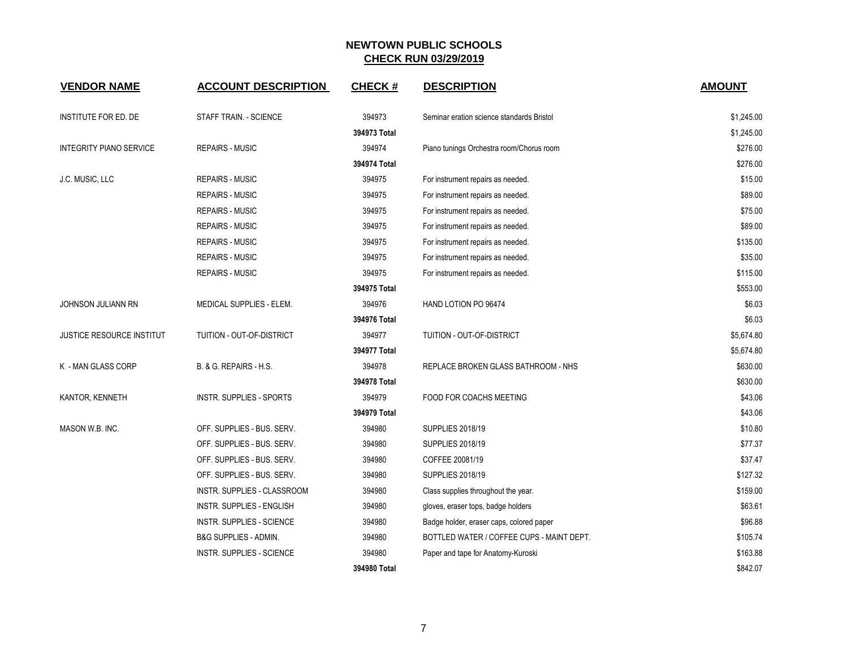| <b>VENDOR NAME</b>               | <b>ACCOUNT DESCRIPTION</b>       | <b>CHECK#</b> | <b>DESCRIPTION</b>                        | <b>AMOUNT</b> |
|----------------------------------|----------------------------------|---------------|-------------------------------------------|---------------|
| <b>INSTITUTE FOR ED. DE</b>      | STAFF TRAIN. - SCIENCE           | 394973        | Seminar eration science standards Bristol | \$1,245.00    |
|                                  |                                  | 394973 Total  |                                           | \$1,245.00    |
| <b>INTEGRITY PIANO SERVICE</b>   | <b>REPAIRS - MUSIC</b>           | 394974        | Piano tunings Orchestra room/Chorus room  | \$276.00      |
|                                  |                                  | 394974 Total  |                                           | \$276.00      |
| J.C. MUSIC, LLC                  | <b>REPAIRS - MUSIC</b>           | 394975        | For instrument repairs as needed.         | \$15.00       |
|                                  | <b>REPAIRS - MUSIC</b>           | 394975        | For instrument repairs as needed.         | \$89.00       |
|                                  | <b>REPAIRS - MUSIC</b>           | 394975        | For instrument repairs as needed.         | \$75.00       |
|                                  | <b>REPAIRS - MUSIC</b>           | 394975        | For instrument repairs as needed.         | \$89.00       |
|                                  | <b>REPAIRS - MUSIC</b>           | 394975        | For instrument repairs as needed.         | \$135.00      |
|                                  | <b>REPAIRS - MUSIC</b>           | 394975        | For instrument repairs as needed.         | \$35.00       |
|                                  | <b>REPAIRS - MUSIC</b>           | 394975        | For instrument repairs as needed.         | \$115.00      |
|                                  |                                  | 394975 Total  |                                           | \$553.00      |
| JOHNSON JULIANN RN               | MEDICAL SUPPLIES - ELEM.         | 394976        | HAND LOTION PO 96474                      | \$6.03        |
|                                  |                                  | 394976 Total  |                                           | \$6.03        |
| <b>JUSTICE RESOURCE INSTITUT</b> | TUITION - OUT-OF-DISTRICT        | 394977        | TUITION - OUT-OF-DISTRICT                 | \$5,674.80    |
|                                  |                                  | 394977 Total  |                                           | \$5,674.80    |
| K - MAN GLASS CORP               | B. & G. REPAIRS - H.S.           | 394978        | REPLACE BROKEN GLASS BATHROOM - NHS       | \$630.00      |
|                                  |                                  | 394978 Total  |                                           | \$630.00      |
| KANTOR, KENNETH                  | INSTR. SUPPLIES - SPORTS         | 394979        | FOOD FOR COACHS MEETING                   | \$43.06       |
|                                  |                                  | 394979 Total  |                                           | \$43.06       |
| MASON W.B. INC.                  | OFF. SUPPLIES - BUS. SERV.       | 394980        | <b>SUPPLIES 2018/19</b>                   | \$10.80       |
|                                  | OFF. SUPPLIES - BUS. SERV.       | 394980        | <b>SUPPLIES 2018/19</b>                   | \$77.37       |
|                                  | OFF. SUPPLIES - BUS. SERV.       | 394980        | COFFEE 20081/19                           | \$37.47       |
|                                  | OFF. SUPPLIES - BUS. SERV.       | 394980        | <b>SUPPLIES 2018/19</b>                   | \$127.32      |
|                                  | INSTR. SUPPLIES - CLASSROOM      | 394980        | Class supplies throughout the year.       | \$159.00      |
|                                  | <b>INSTR. SUPPLIES - ENGLISH</b> | 394980        | gloves, eraser tops, badge holders        | \$63.61       |
|                                  | <b>INSTR. SUPPLIES - SCIENCE</b> | 394980        | Badge holder, eraser caps, colored paper  | \$96.88       |
|                                  | B&G SUPPLIES - ADMIN.            | 394980        | BOTTLED WATER / COFFEE CUPS - MAINT DEPT. | \$105.74      |
|                                  | <b>INSTR. SUPPLIES - SCIENCE</b> | 394980        | Paper and tape for Anatomy-Kuroski        | \$163.88      |
|                                  |                                  | 394980 Total  |                                           | \$842.07      |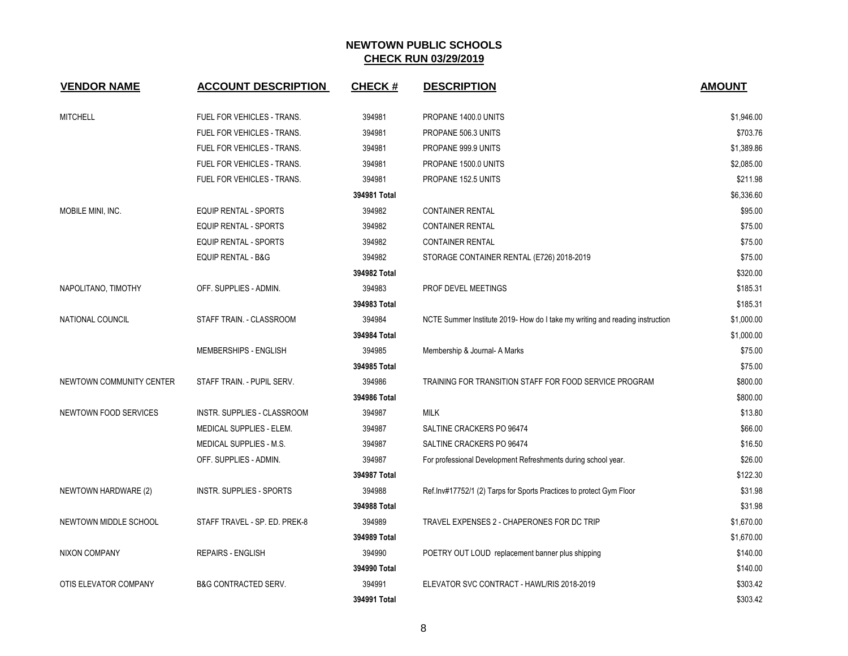| <b>VENDOR NAME</b>       | <b>ACCOUNT DESCRIPTION</b>      | <b>CHECK#</b> | <b>DESCRIPTION</b>                                                           | <b>AMOUNT</b> |
|--------------------------|---------------------------------|---------------|------------------------------------------------------------------------------|---------------|
| <b>MITCHELL</b>          | FUEL FOR VEHICLES - TRANS.      | 394981        | PROPANE 1400.0 UNITS                                                         | \$1,946.00    |
|                          | FUEL FOR VEHICLES - TRANS.      | 394981        | PROPANE 506.3 UNITS                                                          | \$703.76      |
|                          | FUEL FOR VEHICLES - TRANS.      | 394981        | PROPANE 999.9 UNITS                                                          | \$1,389.86    |
|                          | FUEL FOR VEHICLES - TRANS.      | 394981        | PROPANE 1500.0 UNITS                                                         | \$2,085.00    |
|                          | FUEL FOR VEHICLES - TRANS.      | 394981        | PROPANE 152.5 UNITS                                                          | \$211.98      |
|                          |                                 | 394981 Total  |                                                                              | \$6,336.60    |
| MOBILE MINI, INC.        | <b>EQUIP RENTAL - SPORTS</b>    | 394982        | <b>CONTAINER RENTAL</b>                                                      | \$95.00       |
|                          | <b>EQUIP RENTAL - SPORTS</b>    | 394982        | <b>CONTAINER RENTAL</b>                                                      | \$75.00       |
|                          | <b>EQUIP RENTAL - SPORTS</b>    | 394982        | <b>CONTAINER RENTAL</b>                                                      | \$75.00       |
|                          | <b>EQUIP RENTAL - B&amp;G</b>   | 394982        | STORAGE CONTAINER RENTAL (E726) 2018-2019                                    | \$75.00       |
|                          |                                 | 394982 Total  |                                                                              | \$320.00      |
| NAPOLITANO, TIMOTHY      | OFF. SUPPLIES - ADMIN.          | 394983        | PROF DEVEL MEETINGS                                                          | \$185.31      |
|                          |                                 | 394983 Total  |                                                                              | \$185.31      |
| <b>NATIONAL COUNCIL</b>  | STAFF TRAIN. - CLASSROOM        | 394984        | NCTE Summer Institute 2019- How do I take my writing and reading instruction | \$1,000.00    |
|                          |                                 | 394984 Total  |                                                                              | \$1,000.00    |
|                          | MEMBERSHIPS - ENGLISH           | 394985        | Membership & Journal- A Marks                                                | \$75.00       |
|                          |                                 | 394985 Total  |                                                                              | \$75.00       |
| NEWTOWN COMMUNITY CENTER | STAFF TRAIN. - PUPIL SERV.      | 394986        | TRAINING FOR TRANSITION STAFF FOR FOOD SERVICE PROGRAM                       | \$800.00      |
|                          |                                 | 394986 Total  |                                                                              | \$800.00      |
| NEWTOWN FOOD SERVICES    | INSTR. SUPPLIES - CLASSROOM     | 394987        | <b>MILK</b>                                                                  | \$13.80       |
|                          | MEDICAL SUPPLIES - ELEM.        | 394987        | SALTINE CRACKERS PO 96474                                                    | \$66.00       |
|                          | MEDICAL SUPPLIES - M.S.         | 394987        | SALTINE CRACKERS PO 96474                                                    | \$16.50       |
|                          | OFF. SUPPLIES - ADMIN.          | 394987        | For professional Development Refreshments during school year.                | \$26.00       |
|                          |                                 | 394987 Total  |                                                                              | \$122.30      |
| NEWTOWN HARDWARE (2)     | INSTR. SUPPLIES - SPORTS        | 394988        | Ref.Inv#17752/1 (2) Tarps for Sports Practices to protect Gym Floor          | \$31.98       |
|                          |                                 | 394988 Total  |                                                                              | \$31.98       |
| NEWTOWN MIDDLE SCHOOL    | STAFF TRAVEL - SP. ED. PREK-8   | 394989        | TRAVEL EXPENSES 2 - CHAPERONES FOR DC TRIP                                   | \$1,670.00    |
|                          |                                 | 394989 Total  |                                                                              | \$1,670.00    |
| NIXON COMPANY            | <b>REPAIRS - ENGLISH</b>        | 394990        | POETRY OUT LOUD replacement banner plus shipping                             | \$140.00      |
|                          |                                 | 394990 Total  |                                                                              | \$140.00      |
| OTIS ELEVATOR COMPANY    | <b>B&amp;G CONTRACTED SERV.</b> | 394991        | ELEVATOR SVC CONTRACT - HAWL/RIS 2018-2019                                   | \$303.42      |
|                          |                                 | 394991 Total  |                                                                              | \$303.42      |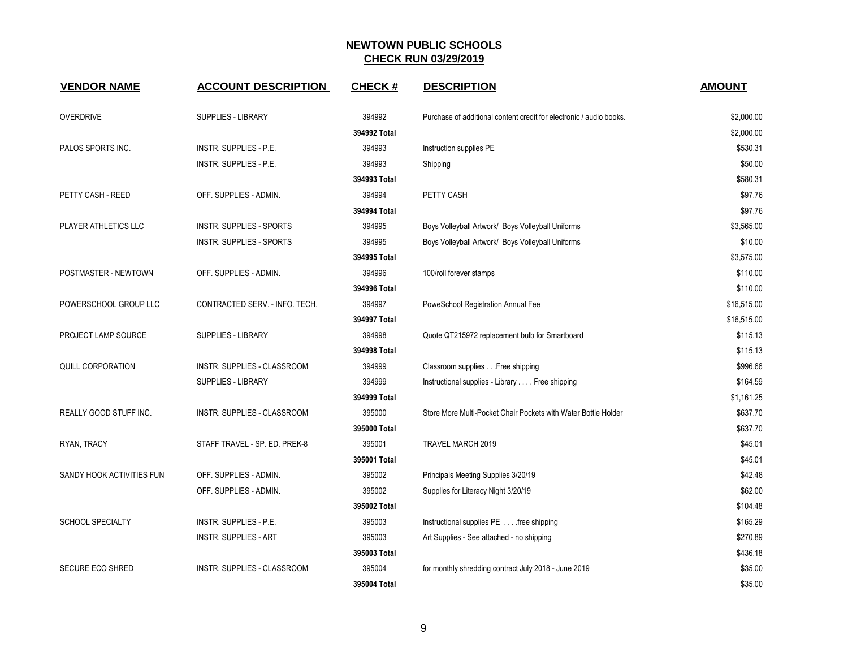| <b>VENDOR NAME</b>        | <b>ACCOUNT DESCRIPTION</b>      | <b>CHECK#</b> | <b>DESCRIPTION</b>                                                  | <b>AMOUNT</b> |
|---------------------------|---------------------------------|---------------|---------------------------------------------------------------------|---------------|
| <b>OVERDRIVE</b>          | <b>SUPPLIES - LIBRARY</b>       | 394992        | Purchase of additional content credit for electronic / audio books. | \$2,000.00    |
|                           |                                 | 394992 Total  |                                                                     | \$2,000.00    |
| PALOS SPORTS INC.         | <b>INSTR. SUPPLIES - P.E.</b>   | 394993        | Instruction supplies PE                                             | \$530.31      |
|                           | INSTR. SUPPLIES - P.E.          | 394993        | Shipping                                                            | \$50.00       |
|                           |                                 | 394993 Total  |                                                                     | \$580.31      |
| PETTY CASH - REED         | OFF. SUPPLIES - ADMIN.          | 394994        | PETTY CASH                                                          | \$97.76       |
|                           |                                 | 394994 Total  |                                                                     | \$97.76       |
| PLAYER ATHLETICS LLC      | INSTR. SUPPLIES - SPORTS        | 394995        | Boys Volleyball Artwork/ Boys Volleyball Uniforms                   | \$3,565.00    |
|                           | <b>INSTR. SUPPLIES - SPORTS</b> | 394995        | Boys Volleyball Artwork/ Boys Volleyball Uniforms                   | \$10.00       |
|                           |                                 | 394995 Total  |                                                                     | \$3,575.00    |
| POSTMASTER - NEWTOWN      | OFF. SUPPLIES - ADMIN.          | 394996        | 100/roll forever stamps                                             | \$110.00      |
|                           |                                 | 394996 Total  |                                                                     | \$110.00      |
| POWERSCHOOL GROUP LLC     | CONTRACTED SERV. - INFO. TECH.  | 394997        | PoweSchool Registration Annual Fee                                  | \$16,515.00   |
|                           |                                 | 394997 Total  |                                                                     | \$16,515.00   |
| PROJECT LAMP SOURCE       | <b>SUPPLIES - LIBRARY</b>       | 394998        | Quote QT215972 replacement bulb for Smartboard                      | \$115.13      |
|                           |                                 | 394998 Total  |                                                                     | \$115.13      |
| <b>QUILL CORPORATION</b>  | INSTR. SUPPLIES - CLASSROOM     | 394999        | Classroom supplies Free shipping                                    | \$996.66      |
|                           | <b>SUPPLIES - LIBRARY</b>       | 394999        | Instructional supplies - Library Free shipping                      | \$164.59      |
|                           |                                 | 394999 Total  |                                                                     | \$1,161.25    |
| REALLY GOOD STUFF INC.    | INSTR. SUPPLIES - CLASSROOM     | 395000        | Store More Multi-Pocket Chair Pockets with Water Bottle Holder      | \$637.70      |
|                           |                                 | 395000 Total  |                                                                     | \$637.70      |
| RYAN, TRACY               | STAFF TRAVEL - SP. ED. PREK-8   | 395001        | TRAVEL MARCH 2019                                                   | \$45.01       |
|                           |                                 | 395001 Total  |                                                                     | \$45.01       |
| SANDY HOOK ACTIVITIES FUN | OFF. SUPPLIES - ADMIN.          | 395002        | Principals Meeting Supplies 3/20/19                                 | \$42.48       |
|                           | OFF. SUPPLIES - ADMIN.          | 395002        | Supplies for Literacy Night 3/20/19                                 | \$62.00       |
|                           |                                 | 395002 Total  |                                                                     | \$104.48      |
| <b>SCHOOL SPECIALTY</b>   | INSTR. SUPPLIES - P.E.          | 395003        | Instructional supplies PE free shipping                             | \$165.29      |
|                           | <b>INSTR. SUPPLIES - ART</b>    | 395003        | Art Supplies - See attached - no shipping                           | \$270.89      |
|                           |                                 | 395003 Total  |                                                                     | \$436.18      |
| <b>SECURE ECO SHRED</b>   | INSTR. SUPPLIES - CLASSROOM     | 395004        | for monthly shredding contract July 2018 - June 2019                | \$35.00       |
|                           |                                 | 395004 Total  |                                                                     | \$35.00       |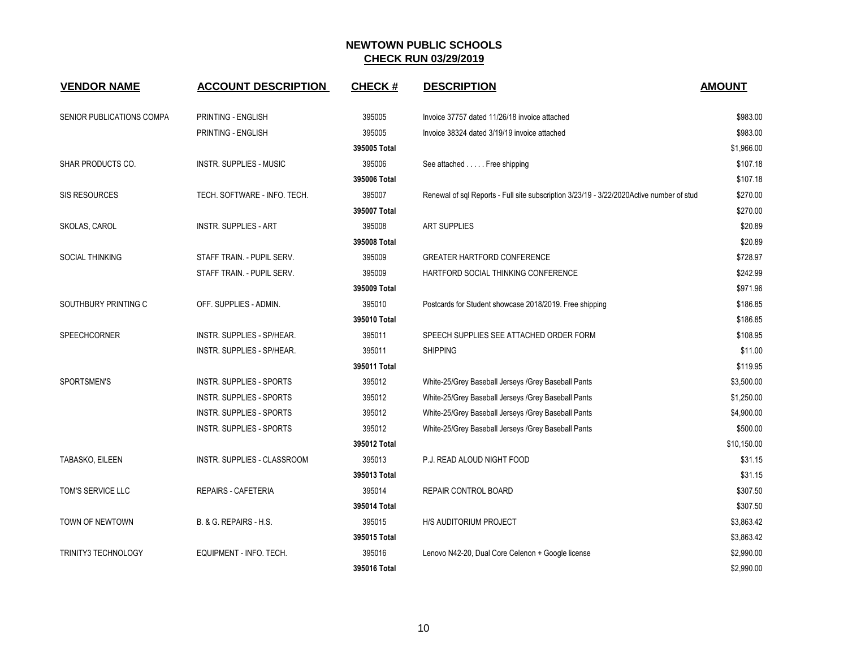| <b>VENDOR NAME</b>         | <b>ACCOUNT DESCRIPTION</b>        | <b>CHECK#</b> | <b>DESCRIPTION</b>                                                                       | <b>AMOUNT</b> |
|----------------------------|-----------------------------------|---------------|------------------------------------------------------------------------------------------|---------------|
| SENIOR PUBLICATIONS COMPA  | PRINTING - ENGLISH                | 395005        | Invoice 37757 dated 11/26/18 invoice attached                                            | \$983.00      |
|                            | PRINTING - ENGLISH                | 395005        | Invoice 38324 dated 3/19/19 invoice attached                                             | \$983.00      |
|                            |                                   | 395005 Total  |                                                                                          | \$1,966.00    |
| SHAR PRODUCTS CO.          | INSTR. SUPPLIES - MUSIC           | 395006        | See attached Free shipping                                                               | \$107.18      |
|                            |                                   | 395006 Total  |                                                                                          | \$107.18      |
| SIS RESOURCES              | TECH. SOFTWARE - INFO. TECH.      | 395007        | Renewal of sql Reports - Full site subscription 3/23/19 - 3/22/2020Active number of stud | \$270.00      |
|                            |                                   | 395007 Total  |                                                                                          | \$270.00      |
| SKOLAS, CAROL              | <b>INSTR. SUPPLIES - ART</b>      | 395008        | <b>ART SUPPLIES</b>                                                                      | \$20.89       |
|                            |                                   | 395008 Total  |                                                                                          | \$20.89       |
| SOCIAL THINKING            | STAFF TRAIN. - PUPIL SERV.        | 395009        | <b>GREATER HARTFORD CONFERENCE</b>                                                       | \$728.97      |
|                            | STAFF TRAIN. - PUPIL SERV.        | 395009        | HARTFORD SOCIAL THINKING CONFERENCE                                                      | \$242.99      |
|                            |                                   | 395009 Total  |                                                                                          | \$971.96      |
| SOUTHBURY PRINTING C       | OFF. SUPPLIES - ADMIN.            | 395010        | Postcards for Student showcase 2018/2019. Free shipping                                  | \$186.85      |
|                            |                                   | 395010 Total  |                                                                                          | \$186.85      |
| <b>SPEECHCORNER</b>        | <b>INSTR. SUPPLIES - SP/HEAR.</b> | 395011        | SPEECH SUPPLIES SEE ATTACHED ORDER FORM                                                  | \$108.95      |
|                            | INSTR. SUPPLIES - SP/HEAR.        | 395011        | <b>SHIPPING</b>                                                                          | \$11.00       |
|                            |                                   | 395011 Total  |                                                                                          | \$119.95      |
| SPORTSMEN'S                | <b>INSTR. SUPPLIES - SPORTS</b>   | 395012        | White-25/Grey Baseball Jerseys /Grey Baseball Pants                                      | \$3,500.00    |
|                            | <b>INSTR. SUPPLIES - SPORTS</b>   | 395012        | White-25/Grey Baseball Jerseys /Grey Baseball Pants                                      | \$1,250.00    |
|                            | <b>INSTR. SUPPLIES - SPORTS</b>   | 395012        | White-25/Grey Baseball Jerseys /Grey Baseball Pants                                      | \$4,900.00    |
|                            | INSTR. SUPPLIES - SPORTS          | 395012        | White-25/Grey Baseball Jerseys /Grey Baseball Pants                                      | \$500.00      |
|                            |                                   | 395012 Total  |                                                                                          | \$10,150.00   |
| TABASKO, EILEEN            | INSTR. SUPPLIES - CLASSROOM       | 395013        | P.J. READ ALOUD NIGHT FOOD                                                               | \$31.15       |
|                            |                                   | 395013 Total  |                                                                                          | \$31.15       |
| TOM'S SERVICE LLC          | REPAIRS - CAFETERIA               | 395014        | REPAIR CONTROL BOARD                                                                     | \$307.50      |
|                            |                                   | 395014 Total  |                                                                                          | \$307.50      |
| TOWN OF NEWTOWN            | B. & G. REPAIRS - H.S.            | 395015        | H/S AUDITORIUM PROJECT                                                                   | \$3,863.42    |
|                            |                                   | 395015 Total  |                                                                                          | \$3,863.42    |
| <b>TRINITY3 TECHNOLOGY</b> | EQUIPMENT - INFO. TECH.           | 395016        | Lenovo N42-20, Dual Core Celenon + Google license                                        | \$2,990.00    |
|                            |                                   | 395016 Total  |                                                                                          | \$2,990.00    |